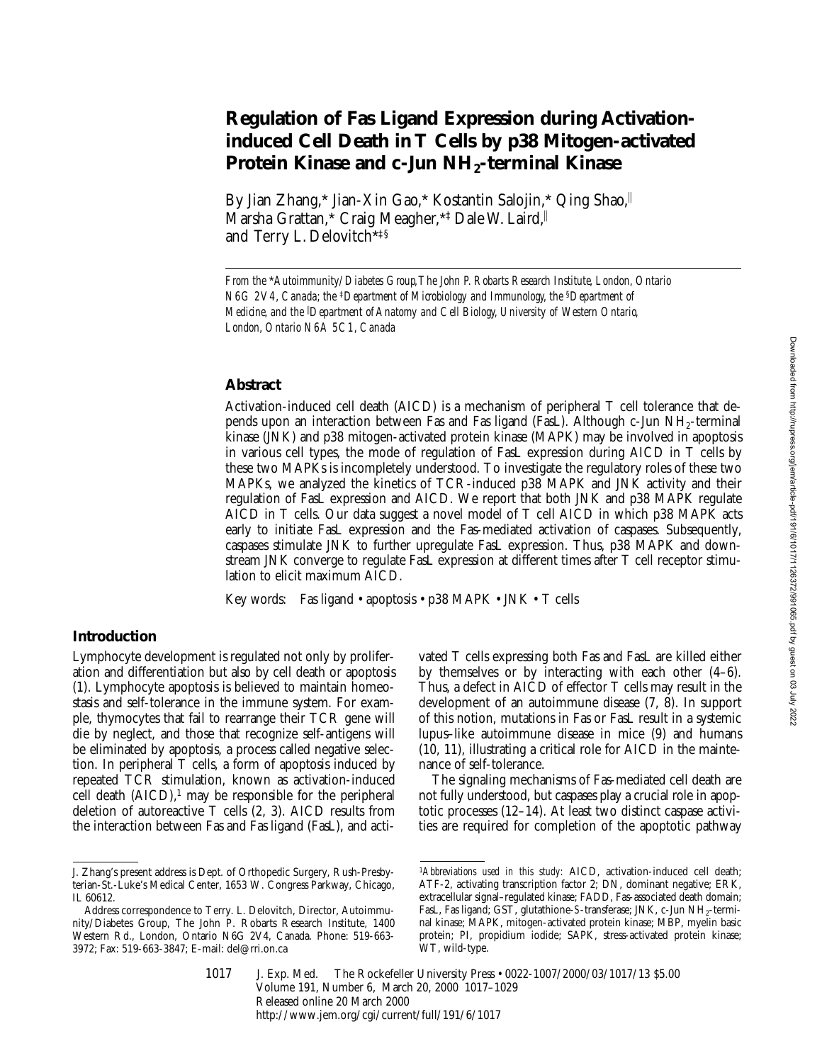# **Regulation of Fas Ligand Expression during Activationinduced Cell Death in T Cells by p38 Mitogen-activated**  Protein Kinase and c-Jun NH<sub>2</sub>-terminal Kinase

By Jian Zhang,\* Jian-Xin Gao,\* Kostantin Salojin,\* Qing Shao, Marsha Grattan,\* Craig Meagher,\*<sup>‡</sup> Dale W. Laird, and Terry L. Delovitch\*‡§

### **Abstract**

Activation-induced cell death (AICD) is a mechanism of peripheral T cell tolerance that depends upon an interaction between Fas and Fas ligand (FasL). Although c-Jun NH2-terminal kinase (JNK) and p38 mitogen-activated protein kinase (MAPK) may be involved in apoptosis in various cell types, the mode of regulation of FasL expression during AICD in T cells by these two MAPKs is incompletely understood. To investigate the regulatory roles of these two MAPKs, we analyzed the kinetics of TCR-induced p38 MAPK and JNK activity and their regulation of FasL expression and AICD. We report that both JNK and p38 MAPK regulate AICD in T cells. Our data suggest a novel model of T cell AICD in which p38 MAPK acts early to initiate FasL expression and the Fas-mediated activation of caspases. Subsequently, caspases stimulate JNK to further upregulate FasL expression. Thus, p38 MAPK and downstream JNK converge to regulate FasL expression at different times after T cell receptor stimulation to elicit maximum AICD.

Key words: Fas ligand • apoptosis • p38 MAPK • JNK • T cells

## **Introduction**

Lymphocyte development is regulated not only by proliferation and differentiation but also by cell death or apoptosis (1). Lymphocyte apoptosis is believed to maintain homeostasis and self-tolerance in the immune system. For example, thymocytes that fail to rearrange their TCR gene will die by neglect, and those that recognize self-antigens will be eliminated by apoptosis, a process called negative selection. In peripheral T cells, a form of apoptosis induced by repeated TCR stimulation, known as activation-induced cell death  $(AICD)$ ,<sup>1</sup> may be responsible for the peripheral deletion of autoreactive T cells (2, 3). AICD results from the interaction between Fas and Fas ligand (FasL), and activated T cells expressing both Fas and FasL are killed either by themselves or by interacting with each other (4–6). Thus, a defect in AICD of effector T cells may result in the development of an autoimmune disease (7, 8). In support of this notion, mutations in Fas or FasL result in a systemic lupus–like autoimmune disease in mice (9) and humans (10, 11), illustrating a critical role for AICD in the maintenance of self-tolerance.

The signaling mechanisms of Fas-mediated cell death are not fully understood, but caspases play a crucial role in apoptotic processes (12–14). At least two distinct caspase activities are required for completion of the apoptotic pathway

*From the* \**Autoimmunity/Diabetes Group, The John P. Robarts Research Institute, London, Ontario N6G 2V4, Canada; the* ‡*Department of Microbiology and Immunology, the* §*Department of Medicine, and the* <sup>i</sup> *Department of Anatomy and Cell Biology, University of Western Ontario, London, Ontario N6A 5C1, Canada*

J. Zhang's present address is Dept. of Orthopedic Surgery, Rush-Presbyterian-St.-Luke's Medical Center, 1653 W. Congress Parkway, Chicago, IL 60612.

Address correspondence to Terry. L. Delovitch, Director, Autoimmunity/Diabetes Group, The John P. Robarts Research Institute, 1400 Western Rd., London, Ontario N6G 2V4, Canada. Phone: 519-663- 3972; Fax: 519-663-3847; E-mail: del@rri.on.ca

<sup>1</sup>*Abbreviations used in this study:* AICD, activation-induced cell death; ATF-2, activating transcription factor 2; DN, dominant negative; ERK, extracellular signal–regulated kinase; FADD, Fas-associated death domain; FasL, Fas ligand; GST, glutathione-*S*-transferase; JNK, c-Jun NH<sub>2</sub>-terminal kinase; MAPK, mitogen-activated protein kinase; MBP, myelin basic protein; PI, propidium iodide; SAPK, stress-activated protein kinase; WT, wild-type.

J. Exp. Med. © The Rockefeller University Press • 0022-1007/2000/03/1017/13 \$5.00 Volume 191, Number 6, March 20, 2000 1017–1029 Released online 20 March 2000 http://www.jem.org/cgi/current/full/191/6/1017 1017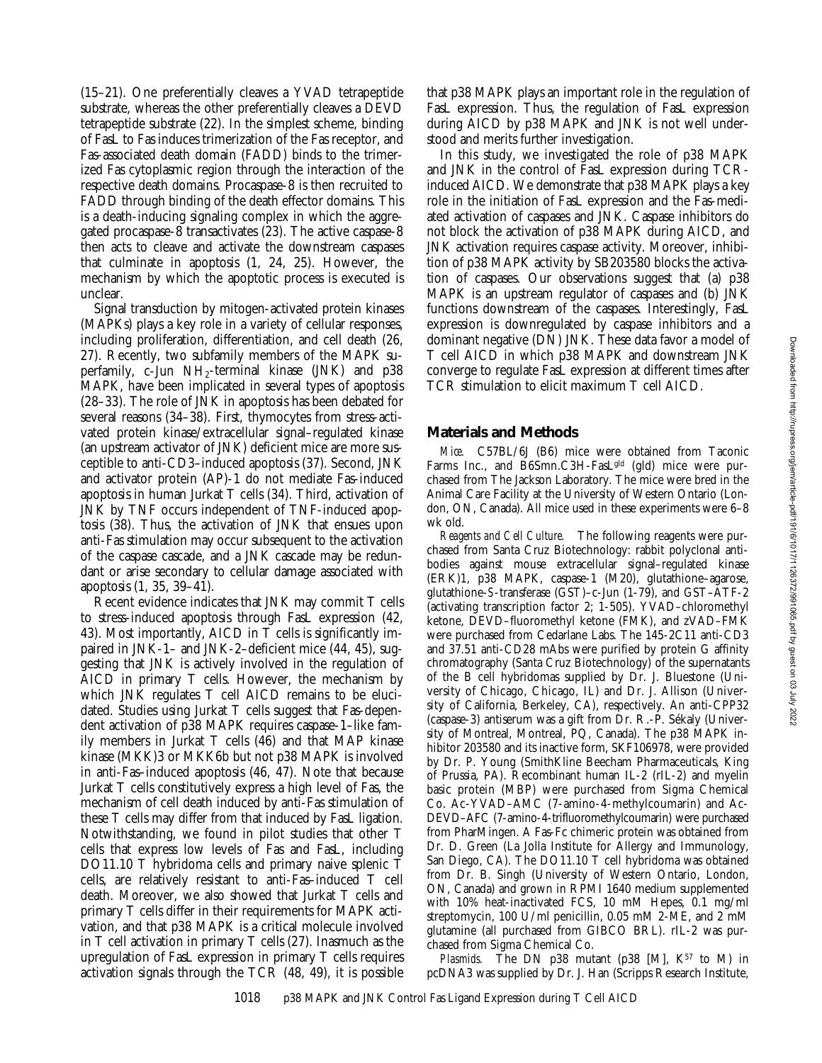(15–21). One preferentially cleaves a YVAD tetrapeptide substrate, whereas the other preferentially cleaves a DEVD tetrapeptide substrate (22). In the simplest scheme, binding of FasL to Fas induces trimerization of the Fas receptor, and Fas-associated death domain (FADD) binds to the trimerized Fas cytoplasmic region through the interaction of the respective death domains. Procaspase-8 is then recruited to FADD through binding of the death effector domains. This is a death-inducing signaling complex in which the aggregated procaspase-8 transactivates (23). The active caspase-8 then acts to cleave and activate the downstream caspases that culminate in apoptosis (1, 24, 25). However, the mechanism by which the apoptotic process is executed is unclear.

Signal transduction by mitogen-activated protein kinases (MAPKs) plays a key role in a variety of cellular responses, including proliferation, differentiation, and cell death (26, 27). Recently, two subfamily members of the MAPK superfamily, c-Jun  $NH<sub>2</sub>$ -terminal kinase (JNK) and p38 MAPK, have been implicated in several types of apoptosis (28–33). The role of JNK in apoptosis has been debated for several reasons (34–38). First, thymocytes from stress-activated protein kinase/extracellular signal–regulated kinase (an upstream activator of JNK) deficient mice are more susceptible to anti-CD3–induced apoptosis (37). Second, JNK and activator protein (AP)-1 do not mediate Fas-induced apoptosis in human Jurkat T cells (34). Third, activation of JNK by TNF occurs independent of TNF-induced apoptosis (38). Thus, the activation of JNK that ensues upon anti-Fas stimulation may occur subsequent to the activation of the caspase cascade, and a JNK cascade may be redundant or arise secondary to cellular damage associated with apoptosis (1, 35, 39–41).

Recent evidence indicates that JNK may commit T cells to stress-induced apoptosis through FasL expression (42, 43). Most importantly, AICD in T cells is significantly impaired in JNK-1– and JNK-2–deficient mice (44, 45), suggesting that JNK is actively involved in the regulation of AICD in primary T cells. However, the mechanism by which JNK regulates T cell AICD remains to be elucidated. Studies using Jurkat T cells suggest that Fas-dependent activation of p38 MAPK requires caspase-1–like family members in Jurkat T cells (46) and that MAP kinase kinase (MKK)3 or MKK6b but not p38 MAPK is involved in anti-Fas–induced apoptosis (46, 47). Note that because Jurkat T cells constitutively express a high level of Fas, the mechanism of cell death induced by anti-Fas stimulation of these T cells may differ from that induced by FasL ligation. Notwithstanding, we found in pilot studies that other T cells that express low levels of Fas and FasL, including DO11.10 T hybridoma cells and primary naive splenic T cells, are relatively resistant to anti-Fas–induced T cell death. Moreover, we also showed that Jurkat T cells and primary T cells differ in their requirements for MAPK activation, and that p38 MAPK is a critical molecule involved in T cell activation in primary T cells (27). Inasmuch as the upregulation of FasL expression in primary T cells requires activation signals through the TCR (48, 49), it is possible

that p38 MAPK plays an important role in the regulation of FasL expression. Thus, the regulation of FasL expression during AICD by p38 MAPK and JNK is not well understood and merits further investigation.

In this study, we investigated the role of p38 MAPK and JNK in the control of FasL expression during TCRinduced AICD. We demonstrate that p38 MAPK plays a key role in the initiation of FasL expression and the Fas-mediated activation of caspases and JNK. Caspase inhibitors do not block the activation of p38 MAPK during AICD, and JNK activation requires caspase activity. Moreover, inhibition of p38 MAPK activity by SB203580 blocks the activation of caspases. Our observations suggest that (a) p38 MAPK is an upstream regulator of caspases and (b) JNK functions downstream of the caspases. Interestingly, FasL expression is downregulated by caspase inhibitors and a dominant negative (DN) JNK. These data favor a model of T cell AICD in which p38 MAPK and downstream JNK converge to regulate FasL expression at different times after TCR stimulation to elicit maximum T cell AICD.

## **Materials and Methods**

*Mice.* C57BL/6J (B6) mice were obtained from Taconic Farms Inc., and B6Smn.C3H-FasLgld (gld) mice were purchased from The Jackson Laboratory. The mice were bred in the Animal Care Facility at the University of Western Ontario (London, ON, Canada). All mice used in these experiments were 6–8 wk old.

*Reagents and Cell Culture.* The following reagents were purchased from Santa Cruz Biotechnology: rabbit polyclonal antibodies against mouse extracellular signal–regulated kinase (ERK)1, p38 MAPK, caspase-1 (M20), glutathione–agarose, glutathione-*S*-transferase (GST)–c-Jun (1-79), and GST–ATF-2 (activating transcription factor 2; 1-505). YVAD–chloromethyl ketone, DEVD–fluoromethyl ketone (FMK), and zVAD–FMK were purchased from Cedarlane Labs. The 145-2C11 anti-CD3 and 37.51 anti-CD28 mAbs were purified by protein G affinity chromatography (Santa Cruz Biotechnology) of the supernatants of the B cell hybridomas supplied by Dr. J. Bluestone (University of Chicago, Chicago, IL) and Dr. J. Allison (University of California, Berkeley, CA), respectively. An anti-CPP32 (caspase-3) antiserum was a gift from Dr. R.-P. Sékaly (University of Montreal, Montreal, PQ, Canada). The p38 MAPK inhibitor 203580 and its inactive form, SKF106978, were provided by Dr. P. Young (SmithKline Beecham Pharmaceuticals, King of Prussia, PA). Recombinant human IL-2 (rIL-2) and myelin basic protein (MBP) were purchased from Sigma Chemical Co. Ac-YVAD–AMC (7-amino-4-methylcoumarin) and Ac-DEVD–AFC (7-amino-4-trifluoromethylcoumarin) were purchased from PharMingen. A Fas-Fc chimeric protein was obtained from Dr. D. Green (La Jolla Institute for Allergy and Immunology, San Diego, CA). The DO11.10 T cell hybridoma was obtained from Dr. B. Singh (University of Western Ontario, London, ON, Canada) and grown in RPMI 1640 medium supplemented with 10% heat-inactivated FCS, 10 mM Hepes, 0.1 mg/ml streptomycin, 100 U/ml penicillin, 0.05 mM 2-ME, and 2 mM glutamine (all purchased from GIBCO BRL). rIL-2 was purchased from Sigma Chemical Co.

*Plasmids.* The DN p38 mutant (p38 [M],  $K^{57}$  to M) in pcDNA3 was supplied by Dr. J. Han (Scripps Research Institute,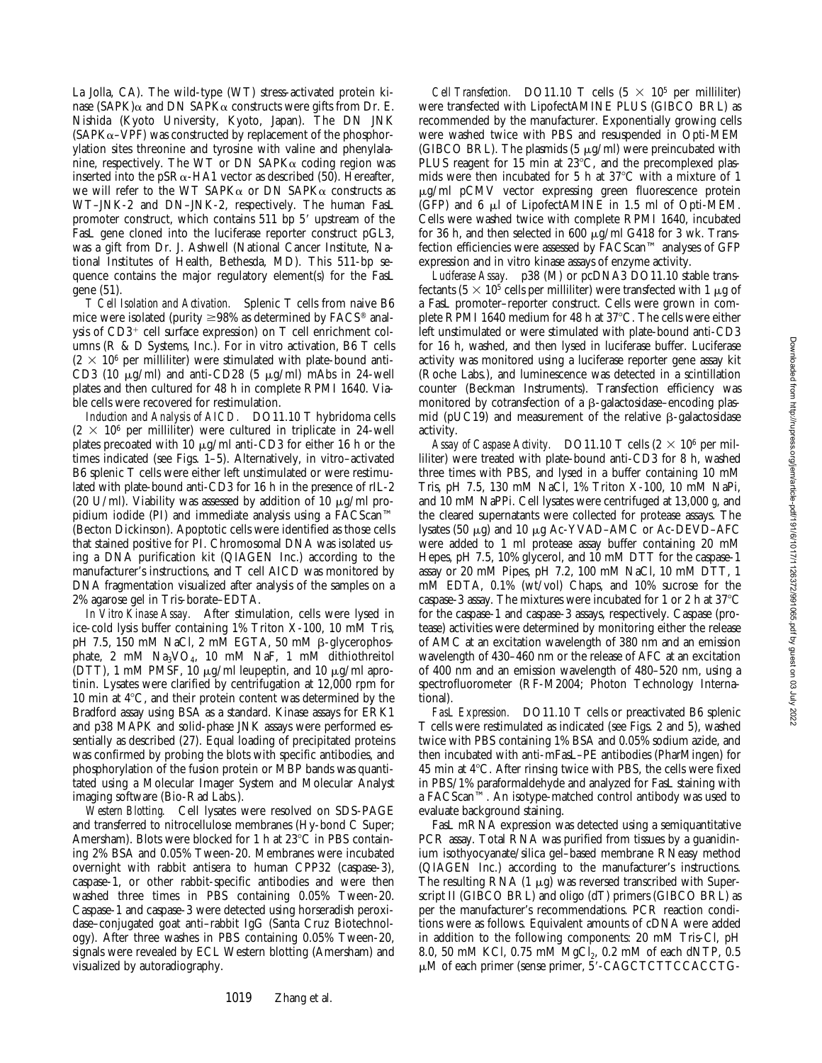La Jolla, CA). The wild-type (WT) stress-activated protein kinase (SAPK) $\alpha$  and DN SAPK $\alpha$  constructs were gifts from Dr. E. Nishida (Kyoto University, Kyoto, Japan). The DN JNK  $(SAPK<sub>\alpha</sub>–VPF)$  was constructed by replacement of the phosphorylation sites threonine and tyrosine with valine and phenylalanine, respectively. The WT or DN SAPK $\alpha$  coding region was inserted into the pSR $\alpha$ -HA1 vector as described (50). Hereafter, we will refer to the WT SAPK $\alpha$  or DN SAPK $\alpha$  constructs as WT–JNK-2 and DN–JNK-2, respectively. The human FasL promoter construct, which contains 511 bp 5' upstream of the FasL gene cloned into the luciferase reporter construct pGL3, was a gift from Dr. J. Ashwell (National Cancer Institute, National Institutes of Health, Bethesda, MD). This 511-bp sequence contains the major regulatory element(s) for the FasL gene (51).

*T Cell Isolation and Activation.* Splenic T cells from naive B6 mice were isolated (purity  $\geq$ 98% as determined by FACS<sup>®</sup> analysis of  $CD3^+$  cell surface expression) on T cell enrichment columns (R & D Systems, Inc.). For in vitro activation, B6 T cells  $(2 \times 10^6$  per milliliter) were stimulated with plate-bound anti-CD3 (10  $\mu$ g/ml) and anti-CD28 (5  $\mu$ g/ml) mAbs in 24-well plates and then cultured for 48 h in complete RPMI 1640. Viable cells were recovered for restimulation.

*Induction and Analysis of AICD.* DO11.10 T hybridoma cells  $(2 \times 10^6$  per milliliter) were cultured in triplicate in 24-well plates precoated with 10  $\mu$ g/ml anti-CD3 for either 16 h or the times indicated (see Figs. 1–5). Alternatively, in vitro–activated B6 splenic T cells were either left unstimulated or were restimulated with plate-bound anti-CD3 for 16 h in the presence of rIL-2 (20 U/ml). Viability was assessed by addition of 10  $\mu$ g/ml propidium iodide (PI) and immediate analysis using a FACScan™ (Becton Dickinson). Apoptotic cells were identified as those cells that stained positive for PI. Chromosomal DNA was isolated using a DNA purification kit (QIAGEN Inc.) according to the manufacturer's instructions, and T cell AICD was monitored by DNA fragmentation visualized after analysis of the samples on a 2% agarose gel in Tris-borate–EDTA.

*In Vitro Kinase Assay.* After stimulation, cells were lysed in ice-cold lysis buffer containing 1% Triton X-100, 10 mM Tris, pH 7.5, 150 mM NaCl, 2 mM EGTA, 50 mM β-glycerophosphate, 2 mM Na<sub>3</sub>VO<sub>4</sub>, 10 mM NaF, 1 mM dithiothreitol (DTT), 1 mM PMSF, 10  $\mu$ g/ml leupeptin, and 10  $\mu$ g/ml aprotinin. Lysates were clarified by centrifugation at 12,000 rpm for 10 min at  $4^{\circ}$ C, and their protein content was determined by the Bradford assay using BSA as a standard. Kinase assays for ERK1 and p38 MAPK and solid-phase JNK assays were performed essentially as described (27). Equal loading of precipitated proteins was confirmed by probing the blots with specific antibodies, and phosphorylation of the fusion protein or MBP bands was quantitated using a Molecular Imager System and Molecular Analyst imaging software (Bio-Rad Labs.).

*Western Blotting.* Cell lysates were resolved on SDS-PAGE and transferred to nitrocellulose membranes (Hy-bond C Super; Amersham). Blots were blocked for 1 h at  $23^{\circ}$ C in PBS containing 2% BSA and 0.05% Tween-20. Membranes were incubated overnight with rabbit antisera to human CPP32 (caspase-3), caspase-1, or other rabbit-specific antibodies and were then washed three times in PBS containing 0.05% Tween-20. Caspase-1 and caspase-3 were detected using horseradish peroxidase–conjugated goat anti–rabbit IgG (Santa Cruz Biotechnology). After three washes in PBS containing 0.05% Tween-20, signals were revealed by ECL Western blotting (Amersham) and visualized by autoradiography.

*Cell Transfection.* DO11.10 T cells  $(5 \times 10^5$  per milliliter) were transfected with LipofectAMINE PLUS (GIBCO BRL) as recommended by the manufacturer. Exponentially growing cells were washed twice with PBS and resuspended in Opti-MEM (GIBCO BRL). The plasmids (5  $\mu$ g/ml) were preincubated with PLUS reagent for 15 min at  $23^{\circ}$ C, and the precomplexed plasmids were then incubated for 5 h at  $37^{\circ}$ C with a mixture of 1 mg/ml pCMV vector expressing green fluorescence protein  $(GFP)$  and 6  $\mu$ l of LipofectAMINE in 1.5 ml of Opti-MEM. Cells were washed twice with complete RPMI 1640, incubated for 36 h, and then selected in 600  $\mu$ g/ml G418 for 3 wk. Transfection efficiencies were assessed by FACScan™ analyses of GFP expression and in vitro kinase assays of enzyme activity.

*Luciferase Assay.* p38 (M) or pcDNA3 DO11.10 stable transfectants (5  $\times$  10<sup>5</sup> cells per milliliter) were transfected with 1  $\mu$ g of a FasL promoter–reporter construct. Cells were grown in complete RPMI 1640 medium for 48 h at 37°C. The cells were either left unstimulated or were stimulated with plate-bound anti-CD3 for 16 h, washed, and then lysed in luciferase buffer. Luciferase activity was monitored using a luciferase reporter gene assay kit (Roche Labs.), and luminescence was detected in a scintillation counter (Beckman Instruments). Transfection efficiency was monitored by cotransfection of a  $\beta$ -galactosidase–encoding plasmid (pUC19) and measurement of the relative  $\beta$ -galactosidase activity.

*Assay of Caspase Activity.* DO11.10 T cells  $(2 \times 10^6 \text{ per mil-}$ liliter) were treated with plate-bound anti-CD3 for 8 h, washed three times with PBS, and lysed in a buffer containing 10 mM Tris, pH 7.5, 130 mM NaCl, 1% Triton X-100, 10 mM NaPi, and 10 mM NaPPi. Cell lysates were centrifuged at 13,000 *g*, and the cleared supernatants were collected for protease assays. The lysates (50 mg) and 10 mg Ac-YVAD–AMC or Ac-DEVD–AFC were added to 1 ml protease assay buffer containing 20 mM Hepes, pH 7.5, 10% glycerol, and 10 mM DTT for the caspase-1 assay or 20 mM Pipes, pH 7.2, 100 mM NaCl, 10 mM DTT, 1 mM EDTA, 0.1% (wt/vol) Chaps, and 10% sucrose for the caspase-3 assay. The mixtures were incubated for 1 or 2 h at  $37^{\circ}$ C for the caspase-1 and caspase-3 assays, respectively. Caspase (protease) activities were determined by monitoring either the release of AMC at an excitation wavelength of 380 nm and an emission wavelength of 430–460 nm or the release of AFC at an excitation of 400 nm and an emission wavelength of 480–520 nm, using a spectrofluorometer (RF-M2004; Photon Technology International).

*FasL Expression.* DO11.10 T cells or preactivated B6 splenic T cells were restimulated as indicated (see Figs. 2 and 5), washed twice with PBS containing 1% BSA and 0.05% sodium azide, and then incubated with anti-mFasL–PE antibodies (PharMingen) for 45 min at  $4^{\circ}$ C. After rinsing twice with PBS, the cells were fixed in PBS/1% paraformaldehyde and analyzed for FasL staining with a FACScan™. An isotype-matched control antibody was used to evaluate background staining.

FasL mRNA expression was detected using a semiquantitative PCR assay. Total RNA was purified from tissues by a guanidinium isothyocyanate/silica gel–based membrane RNeasy method (QIAGEN Inc.) according to the manufacturer's instructions. The resulting RNA  $(1 \mu g)$  was reversed transcribed with Superscript II (GIBCO BRL) and oligo (dT) primers (GIBCO BRL) as per the manufacturer's recommendations. PCR reaction conditions were as follows. Equivalent amounts of cDNA were added in addition to the following components: 20 mM Tris-Cl, pH 8.0, 50 mM KCl, 0.75 mM  $MgCl_2$ , 0.2 mM of each dNTP, 0.5  $\mu$ M of each primer (sense primer, 5'-CAGCTCTTCCACCTG-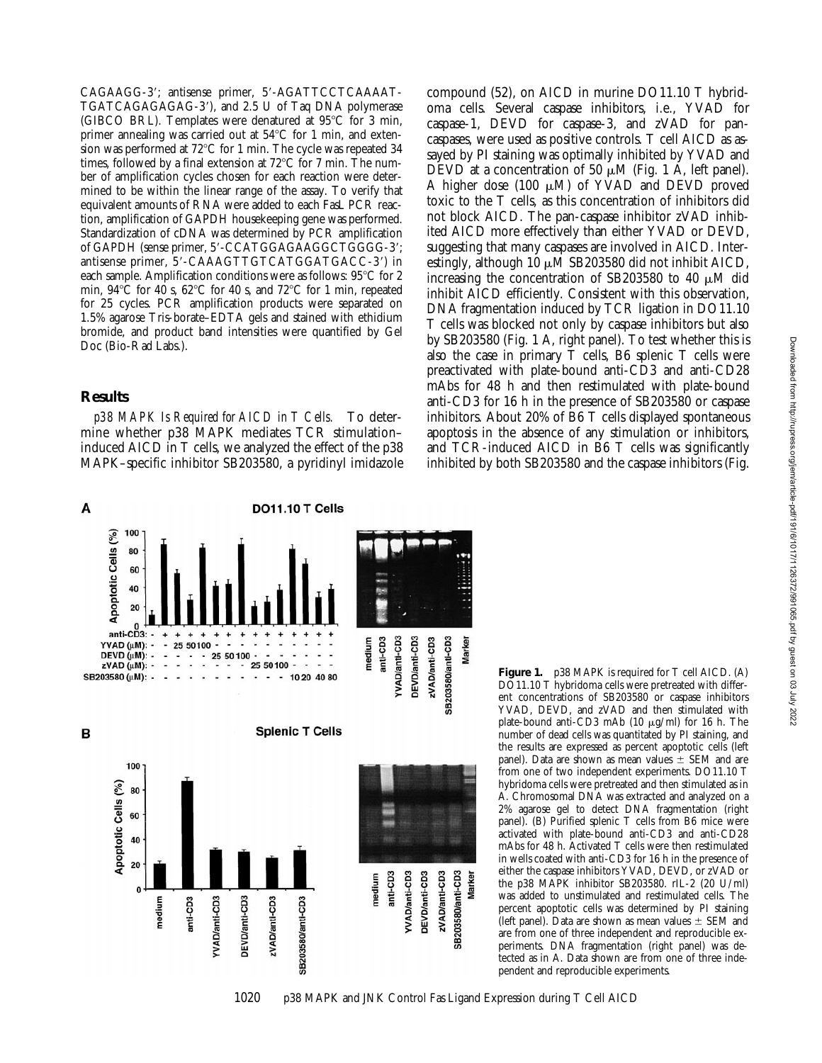CAGAAGG-3'; antisense primer, 5'-AGATTCCTCAAAAT-TGATCAGAGAGAG-3'), and 2.5 U of Taq DNA polymerase (GIBCO BRL). Templates were denatured at  $95^{\circ}$ C for 3 min, primer annealing was carried out at  $54^{\circ}$ C for 1 min, and extension was performed at  $72^{\circ}$ C for 1 min. The cycle was repeated 34 times, followed by a final extension at  $72^{\circ}$ C for 7 min. The number of amplification cycles chosen for each reaction were determined to be within the linear range of the assay. To verify that equivalent amounts of RNA were added to each FasL PCR reaction, amplification of GAPDH housekeeping gene was performed. Standardization of cDNA was determined by PCR amplification of GAPDH (sense primer, 5'-CCATGGAGAAGGCTGGGG-3'; antisense primer, 5'-CAAAGTTGTCATGGATGACC-3') in each sample. Amplification conditions were as follows:  $95^{\circ}$ C for 2 min,  $94^{\circ}$ C for 40 s,  $62^{\circ}$ C for 40 s, and  $72^{\circ}$ C for 1 min, repeated for 25 cycles. PCR amplification products were separated on 1.5% agarose Tris-borate–EDTA gels and stained with ethidium bromide, and product band intensities were quantified by Gel Doc (Bio-Rad Labs.).

### **Results**

*p38 MAPK Is Required for AICD in T Cells.* To determine whether p38 MAPK mediates TCR stimulation– induced AICD in T cells, we analyzed the effect of the p38 MAPK–specific inhibitor SB203580, a pyridinyl imidazole compound (52), on AICD in murine DO11.10 T hybridoma cells. Several caspase inhibitors, i.e., YVAD for caspase-1, DEVD for caspase-3, and zVAD for pancaspases, were used as positive controls. T cell AICD as assayed by PI staining was optimally inhibited by YVAD and DEVD at a concentration of 50  $\mu$ M (Fig. 1 A, left panel). A higher dose (100  $\mu$ M) of YVAD and DEVD proved toxic to the T cells, as this concentration of inhibitors did not block AICD. The pan-caspase inhibitor zVAD inhibited AICD more effectively than either YVAD or DEVD, suggesting that many caspases are involved in AICD. Interestingly, although 10  $\mu$ M SB203580 did not inhibit AICD, increasing the concentration of SB203580 to 40  $\mu$ M did inhibit AICD efficiently. Consistent with this observation, DNA fragmentation induced by TCR ligation in DO11.10 T cells was blocked not only by caspase inhibitors but also by SB203580 (Fig. 1 A, right panel). To test whether this is also the case in primary T cells, B6 splenic T cells were preactivated with plate-bound anti-CD3 and anti-CD28 mAbs for 48 h and then restimulated with plate-bound anti-CD3 for 16 h in the presence of SB203580 or caspase inhibitors. About 20% of B6 T cells displayed spontaneous apoptosis in the absence of any stimulation or inhibitors, and TCR-induced AICD in B6 T cells was significantly inhibited by both SB203580 and the caspase inhibitors (Fig.



**Figure 1.** p38 MAPK is required for T cell AICD. (A) DO11.10 T hybridoma cells were pretreated with different concentrations of SB203580 or caspase inhibitors YVAD, DEVD, and zVAD and then stimulated with plate-bound anti-CD3 mAb (10  $\mu$ g/ml) for 16 h. The number of dead cells was quantitated by PI staining, and the results are expressed as percent apoptotic cells (left panel). Data are shown as mean values  $\pm$  SEM and are from one of two independent experiments. DO11.10 T hybridoma cells were pretreated and then stimulated as in A. Chromosomal DNA was extracted and analyzed on a 2% agarose gel to detect DNA fragmentation (right panel). (B) Purified splenic T cells from B6 mice were activated with plate-bound anti-CD3 and anti-CD28 mAbs for 48 h. Activated T cells were then restimulated in wells coated with anti-CD3 for 16 h in the presence of either the caspase inhibitors YVAD, DEVD, or zVAD or the p38 MAPK inhibitor SB203580. rIL-2 (20 U/ml) was added to unstimulated and restimulated cells. The percent apoptotic cells was determined by PI staining (left panel). Data are shown as mean values  $\pm$  SEM and are from one of three independent and reproducible experiments. DNA fragmentation (right panel) was detected as in A. Data shown are from one of three independent and reproducible experiments.

1020 p38 MAPK and JNK Control Fas Ligand Expression during T Cell AICD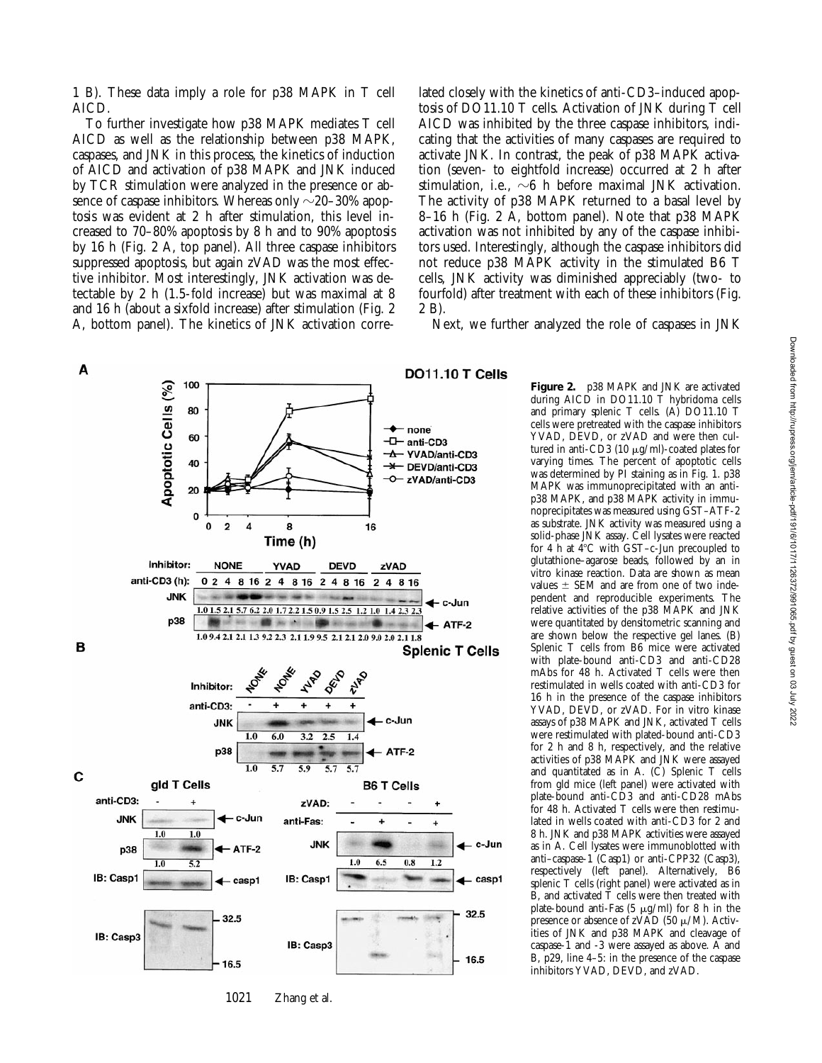1 B). These data imply a role for p38 MAPK in T cell AICD.

To further investigate how p38 MAPK mediates T cell AICD as well as the relationship between p38 MAPK, caspases, and JNK in this process, the kinetics of induction of AICD and activation of p38 MAPK and JNK induced by TCR stimulation were analyzed in the presence or absence of caspase inhibitors. Whereas only  $\sim$  20–30% apoptosis was evident at 2 h after stimulation, this level increased to 70–80% apoptosis by 8 h and to 90% apoptosis by 16 h (Fig. 2 A, top panel). All three caspase inhibitors suppressed apoptosis, but again zVAD was the most effective inhibitor. Most interestingly, JNK activation was detectable by 2 h (1.5-fold increase) but was maximal at 8 and 16 h (about a sixfold increase) after stimulation (Fig. 2 A, bottom panel). The kinetics of JNK activation corre-

lated closely with the kinetics of anti-CD3–induced apoptosis of DO11.10 T cells. Activation of JNK during T cell AICD was inhibited by the three caspase inhibitors, indicating that the activities of many caspases are required to activate JNK. In contrast, the peak of p38 MAPK activation (seven- to eightfold increase) occurred at 2 h after stimulation, i.e.,  $\sim$ 6 h before maximal JNK activation. The activity of p38 MAPK returned to a basal level by 8–16 h (Fig. 2 A, bottom panel). Note that p38 MAPK activation was not inhibited by any of the caspase inhibitors used. Interestingly, although the caspase inhibitors did not reduce p38 MAPK activity in the stimulated B6 T cells, JNK activity was diminished appreciably (two- to fourfold) after treatment with each of these inhibitors (Fig. 2 B).

Next, we further analyzed the role of caspases in JNK



1021 Zhang et al.

**Figure 2.** p38 MAPK and JNK are activated during AICD in DO11.10 T hybridoma cells and primary splenic T cells. (A) DO11.10 T cells were pretreated with the caspase inhibitors YVAD, DEVD, or zVAD and were then cultured in anti-CD3 (10  $\mu$ g/ml)-coated plates for varying times. The percent of apoptotic cells was determined by PI staining as in Fig. 1. p38 MAPK was immunoprecipitated with an antip38 MAPK, and p38 MAPK activity in immunoprecipitates was measured using GST–ATF-2 as substrate. JNK activity was measured using a solid-phase JNK assay. Cell lysates were reacted for 4 h at  $4^{\circ}$ C with GST–c-Jun precoupled to glutathione–agarose beads, followed by an in vitro kinase reaction. Data are shown as mean values  $\pm$  SEM and are from one of two independent and reproducible experiments. The relative activities of the p38 MAPK and JNK were quantitated by densitometric scanning and are shown below the respective gel lanes. (B) Splenic T cells from B6 mice were activated with plate-bound anti-CD3 and anti-CD28 mAbs for 48 h. Activated T cells were then restimulated in wells coated with anti-CD3 for 16 h in the presence of the caspase inhibitors YVAD, DEVD, or zVAD. For in vitro kinase assays of p38 MAPK and JNK, activated T cells were restimulated with plated-bound anti-CD3 for 2 h and 8 h, respectively, and the relative activities of p38 MAPK and JNK were assayed and quantitated as in A. (C) Splenic T cells from gld mice (left panel) were activated with plate-bound anti-CD3 and anti-CD28 mAbs for 48 h. Activated T cells were then restimulated in wells coated with anti-CD3 for 2 and 8 h. JNK and p38 MAPK activities were assayed as in A. Cell lysates were immunoblotted with anti–caspase-1 (Casp1) or anti-CPP32 (Casp3), respectively (left panel). Alternatively, B6 splenic T cells (right panel) were activated as in  $\overline{B}$ , and activated  $\overline{T}$  cells were then treated with plate-bound anti-Fas  $(5 \mu g/ml)$  for 8 h in the presence or absence of zVAD (50  $\mu$ /M). Activities of JNK and p38 MAPK and cleavage of caspase-1 and -3 were assayed as above. A and B, p29, line 4–5: in the presence of the caspase inhibitors YVAD, DEVD, and zVAD.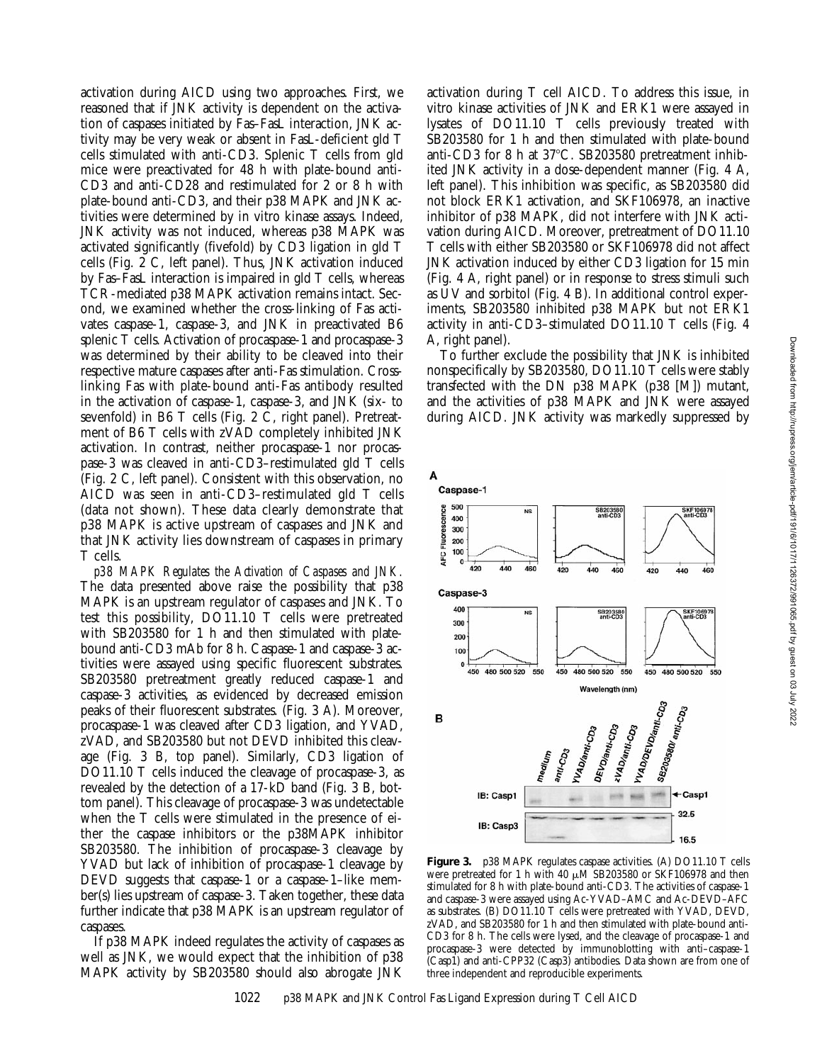activation during AICD using two approaches. First, we reasoned that if JNK activity is dependent on the activation of caspases initiated by Fas–FasL interaction, JNK activity may be very weak or absent in FasL-deficient gld T cells stimulated with anti-CD3. Splenic T cells from gld mice were preactivated for 48 h with plate-bound anti-CD3 and anti-CD28 and restimulated for 2 or 8 h with plate-bound anti-CD3, and their p38 MAPK and JNK activities were determined by in vitro kinase assays. Indeed, JNK activity was not induced, whereas p38 MAPK was activated significantly (fivefold) by CD3 ligation in gld T cells (Fig. 2 C, left panel). Thus, JNK activation induced by Fas–FasL interaction is impaired in gld T cells, whereas TCR-mediated p38 MAPK activation remains intact. Second, we examined whether the cross-linking of Fas activates caspase-1, caspase-3, and JNK in preactivated B6 splenic T cells. Activation of procaspase-1 and procaspase-3 was determined by their ability to be cleaved into their respective mature caspases after anti-Fas stimulation. Crosslinking Fas with plate-bound anti-Fas antibody resulted in the activation of caspase-1, caspase-3, and JNK (six- to sevenfold) in B6 T cells (Fig. 2 C, right panel). Pretreatment of B6 T cells with zVAD completely inhibited JNK activation. In contrast, neither procaspase-1 nor procaspase-3 was cleaved in anti-CD3–restimulated gld T cells (Fig. 2 C, left panel). Consistent with this observation, no AICD was seen in anti-CD3–restimulated gld T cells (data not shown). These data clearly demonstrate that p38 MAPK is active upstream of caspases and JNK and that JNK activity lies downstream of caspases in primary T cells.

*p38 MAPK Regulates the Activation of Caspases and JNK.* The data presented above raise the possibility that p38 MAPK is an upstream regulator of caspases and JNK. To test this possibility, DO11.10 T cells were pretreated with SB203580 for 1 h and then stimulated with platebound anti-CD3 mAb for 8 h. Caspase-1 and caspase-3 activities were assayed using specific fluorescent substrates. SB203580 pretreatment greatly reduced caspase-1 and caspase-3 activities, as evidenced by decreased emission peaks of their fluorescent substrates. (Fig. 3 A). Moreover, procaspase-1 was cleaved after CD3 ligation, and YVAD, zVAD, and SB203580 but not DEVD inhibited this cleavage (Fig. 3 B, top panel). Similarly, CD3 ligation of DO11.10 T cells induced the cleavage of procaspase-3, as revealed by the detection of a 17-kD band (Fig. 3 B, bottom panel). This cleavage of procaspase-3 was undetectable when the T cells were stimulated in the presence of either the caspase inhibitors or the p38MAPK inhibitor SB203580. The inhibition of procaspase-3 cleavage by YVAD but lack of inhibition of procaspase-1 cleavage by DEVD suggests that caspase-1 or a caspase-1–like member(s) lies upstream of caspase-3. Taken together, these data further indicate that p38 MAPK is an upstream regulator of caspases.

If p38 MAPK indeed regulates the activity of caspases as well as JNK, we would expect that the inhibition of p38 MAPK activity by SB203580 should also abrogate JNK

activation during T cell AICD. To address this issue, in vitro kinase activities of JNK and ERK1 were assayed in lysates of DO11.10 T cells previously treated with SB203580 for 1 h and then stimulated with plate-bound anti-CD3 for 8 h at  $37^{\circ}$ C. SB203580 pretreatment inhibited JNK activity in a dose-dependent manner (Fig. 4 A, left panel). This inhibition was specific, as SB203580 did not block ERK1 activation, and SKF106978, an inactive inhibitor of p38 MAPK, did not interfere with JNK activation during AICD. Moreover, pretreatment of DO11.10 T cells with either SB203580 or SKF106978 did not affect JNK activation induced by either CD3 ligation for 15 min (Fig. 4 A, right panel) or in response to stress stimuli such as UV and sorbitol (Fig. 4 B). In additional control experiments, SB203580 inhibited p38 MAPK but not ERK1 activity in anti-CD3–stimulated DO11.10 T cells (Fig. 4 A, right panel).

To further exclude the possibility that JNK is inhibited nonspecifically by SB203580, DO11.10 T cells were stably transfected with the DN p38 MAPK (p38 [M]) mutant, and the activities of p38 MAPK and JNK were assayed during AICD. JNK activity was markedly suppressed by



Figure 3. p38 MAPK regulates caspase activities. (A) DO11.10 T cells were pretreated for 1 h with 40  $\mu$ M SB203580 or SKF106978 and then stimulated for 8 h with plate-bound anti-CD3. The activities of caspase-1 and caspase-3 were assayed using Ac-YVAD–AMC and Ac-DEVD–AFC as substrates. (B) DO11.10 T cells were pretreated with YVAD, DEVD, zVAD, and SB203580 for 1 h and then stimulated with plate-bound anti-CD3 for 8 h. The cells were lysed, and the cleavage of procaspase-1 and procaspase-3 were detected by immunoblotting with anti–caspase-1 (Casp1) and anti-CPP32 (Casp3) antibodies. Data shown are from one of three independent and reproducible experiments.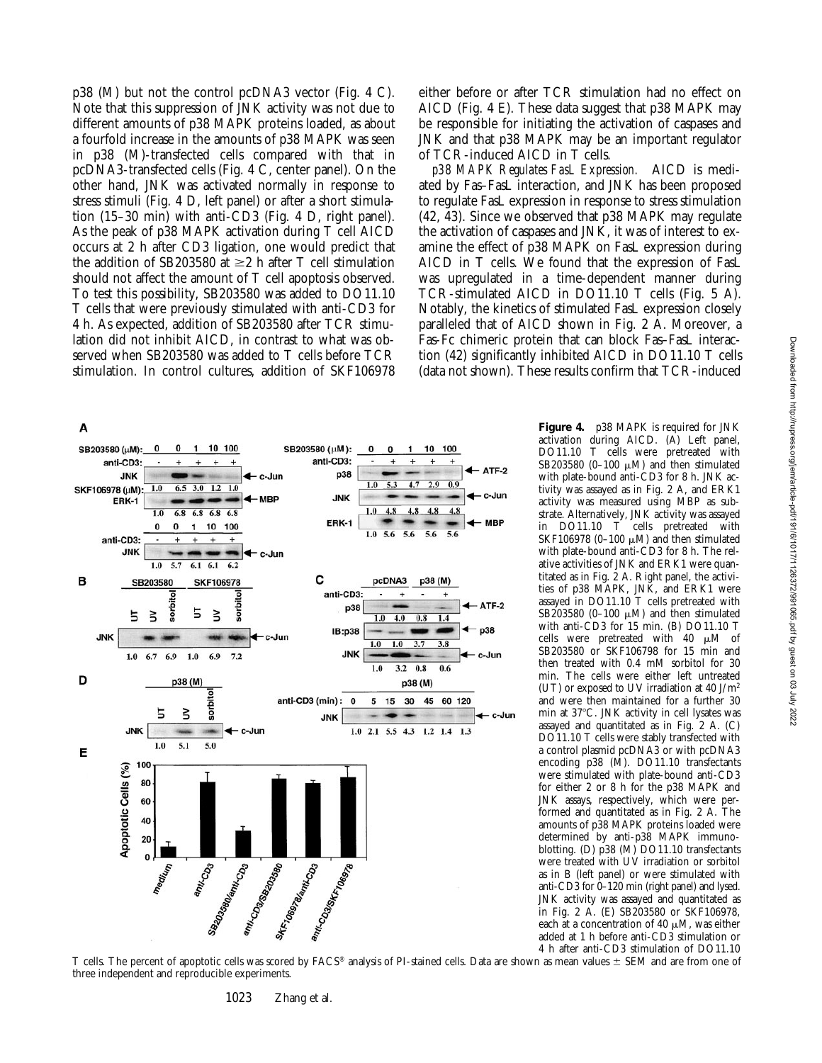p38 (M) but not the control pcDNA3 vector (Fig. 4 C). Note that this suppression of JNK activity was not due to different amounts of p38 MAPK proteins loaded, as about a fourfold increase in the amounts of p38 MAPK was seen in p38 (M)-transfected cells compared with that in pcDNA3-transfected cells (Fig. 4 C, center panel). On the other hand, JNK was activated normally in response to stress stimuli (Fig. 4 D, left panel) or after a short stimulation (15–30 min) with anti-CD3 (Fig. 4 D, right panel). As the peak of p38 MAPK activation during T cell AICD occurs at 2 h after CD3 ligation, one would predict that the addition of SB203580 at  $\geq$ 2 h after T cell stimulation should not affect the amount of T cell apoptosis observed. To test this possibility, SB203580 was added to DO11.10 T cells that were previously stimulated with anti-CD3 for 4 h. As expected, addition of SB203580 after TCR stimulation did not inhibit AICD, in contrast to what was observed when SB203580 was added to T cells before TCR stimulation. In control cultures, addition of SKF106978

either before or after TCR stimulation had no effect on AICD (Fig. 4 E). These data suggest that p38 MAPK may be responsible for initiating the activation of caspases and JNK and that p38 MAPK may be an important regulator of TCR-induced AICD in T cells.

*p38 MAPK Regulates FasL Expression.* AICD is mediated by Fas–FasL interaction, and JNK has been proposed to regulate FasL expression in response to stress stimulation (42, 43). Since we observed that p38 MAPK may regulate the activation of caspases and JNK, it was of interest to examine the effect of p38 MAPK on FasL expression during AICD in T cells. We found that the expression of FasL was upregulated in a time-dependent manner during TCR-stimulated AICD in DO11.10 T cells (Fig. 5 A). Notably, the kinetics of stimulated FasL expression closely paralleled that of AICD shown in Fig. 2 A. Moreover, a Fas-Fc chimeric protein that can block Fas–FasL interaction (42) significantly inhibited AICD in DO11.10 T cells (data not shown). These results confirm that TCR-induced



**Figure 4.** p38 MAPK is required for JNK activation during AICD. (A) Left panel, DO11.10 T cells were pretreated with SB203580 (0-100  $\mu$ M) and then stimulated with plate-bound anti-CD3 for 8 h. JNK activity was assayed as in Fig. 2 A, and ERK1 activity was measured using MBP as substrate. Alternatively, JNK activity was assayed in DO11.10 T cells pretreated with SKF106978 (0-100  $\mu$ M) and then stimulated with plate-bound anti-CD3 for 8 h. The relative activities of JNK and ERK1 were quantitated as in Fig. 2 A. Right panel, the activities of p38 MAPK, JNK, and ERK1 were assayed in DO11.10 T cells pretreated with SB203580 (0-100  $\mu$ M) and then stimulated with anti-CD3 for 15 min. (B) DO11.10 T cells were pretreated with  $40 \mu M$  of SB203580 or SKF106798 for 15 min and then treated with 0.4 mM sorbitol for 30 min. The cells were either left untreated (UT) or exposed to UV irradiation at 40 J/m2 and were then maintained for a further 30 min at 37°C. JNK activity in cell lysates was assayed and quantitated as in Fig. 2 A. (C) DO11.10 T cells were stably transfected with a control plasmid pcDNA3 or with pcDNA3 encoding p38 (M). DO11.10 transfectants were stimulated with plate-bound anti-CD3 for either 2 or 8 h for the p38 MAPK and JNK assays, respectively, which were performed and quantitated as in Fig. 2 A. The amounts of p38 MAPK proteins loaded were determined by anti-p38 MAPK immunoblotting. (D) p38 (M) DO11.10 transfectants were treated with UV irradiation or sorbitol as in B (left panel) or were stimulated with anti-CD3 for 0–120 min (right panel) and lysed. JNK activity was assayed and quantitated as in Fig. 2 A. (E) SB203580 or SKF106978, each at a concentration of 40  $\mu$ M, was either added at 1 h before anti-CD3 stimulation or 4 h after anti-CD3 stimulation of DO11.10

T cells. The percent of apoptotic cells was scored by FACS® analysis of PI-stained cells. Data are shown as mean values ± SEM and are from one of three independent and reproducible experiments.

1023 Zhang et al.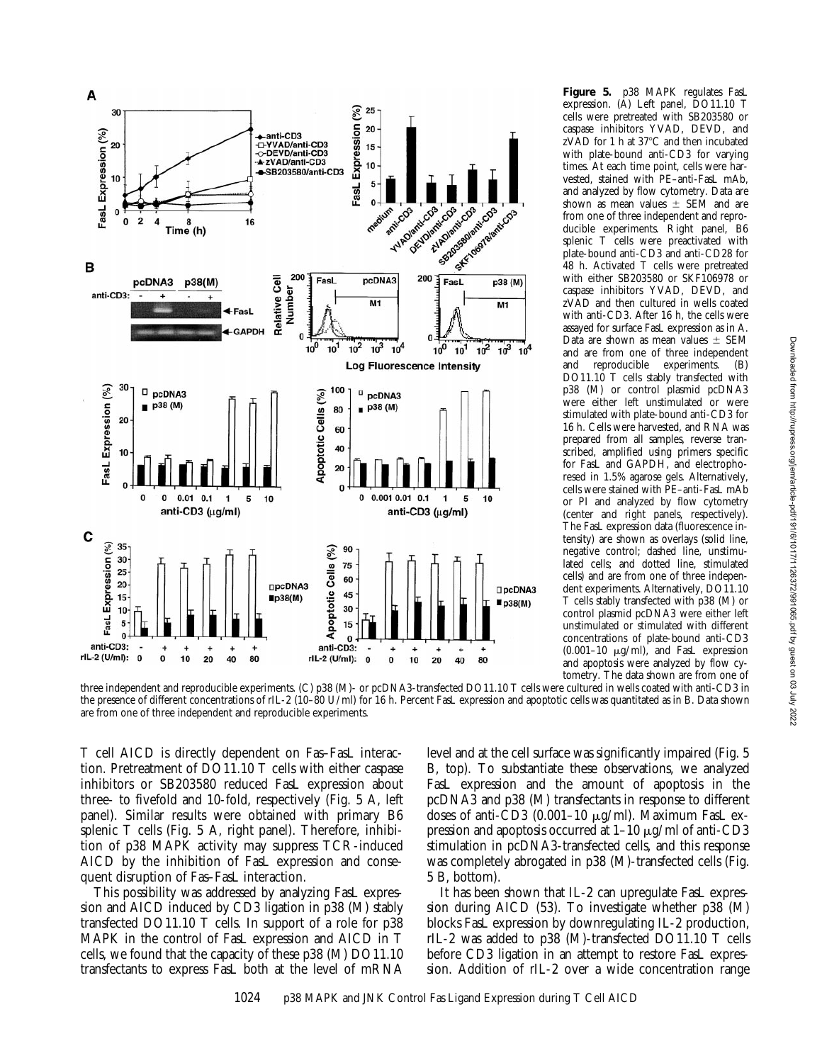

**Figure 5.** p38 MAPK regulates FasL expression. (A) Left panel, DO11.10 T cells were pretreated with SB203580 or caspase inhibitors YVAD, DEVD, and  $zVAD$  for 1 h at 37 $°C$  and then incubated with plate-bound anti-CD3 for varying times. At each time point, cells were harvested, stained with PE–anti-FasL mAb, and analyzed by flow cytometry. Data are shown as mean values  $\pm$  SEM and are from one of three independent and reproducible experiments. Right panel, B6 splenic T cells were preactivated with plate-bound anti-CD3 and anti-CD28 for 48 h. Activated T cells were pretreated with either SB203580 or SKF106978 or caspase inhibitors YVAD, DEVD, and zVAD and then cultured in wells coated with anti-CD3. After 16 h, the cells were assayed for surface FasL expression as in A. Data are shown as mean values  $\pm$  SEM and are from one of three independent and reproducible experiments. (B) DO11.10 T cells stably transfected with p38 (M) or control plasmid pcDNA3 were either left unstimulated or were stimulated with plate-bound anti-CD3 for 16 h. Cells were harvested, and RNA was prepared from all samples, reverse transcribed, amplified using primers specific for FasL and GAPDH, and electrophoresed in 1.5% agarose gels. Alternatively, cells were stained with PE–anti-FasL mAb or PI and analyzed by flow cytometry (center and right panels, respectively). The FasL expression data (fluorescence intensity) are shown as overlays (solid line, negative control; dashed line, unstimulated cells; and dotted line, stimulated cells) and are from one of three independent experiments. Alternatively, DO11.10 T cells stably transfected with p38 (M) or control plasmid pcDNA3 were either left unstimulated or stimulated with different concentrations of plate-bound anti-CD3  $(0.001-10 \mu g/ml)$ , and FasL expression and apoptosis were analyzed by flow cytometry. The data shown are from one of

three independent and reproducible experiments. (C) p38 (M)- or pcDNA3-transfected DO11.10 T cells were cultured in wells coated with anti-CD3 in the presence of different concentrations of rIL-2 (10–80 U/ml) for 16 h. Percent FasL expression and apoptotic cells was quantitated as in B. Data shown are from one of three independent and reproducible experiments.

T cell AICD is directly dependent on Fas–FasL interaction. Pretreatment of DO11.10 T cells with either caspase inhibitors or SB203580 reduced FasL expression about three- to fivefold and 10-fold, respectively (Fig. 5 A, left panel). Similar results were obtained with primary B6 splenic T cells (Fig. 5 A, right panel). Therefore, inhibition of p38 MAPK activity may suppress TCR-induced AICD by the inhibition of FasL expression and consequent disruption of Fas–FasL interaction.

This possibility was addressed by analyzing FasL expression and AICD induced by CD3 ligation in p38 (M) stably transfected DO11.10 T cells. In support of a role for p38 MAPK in the control of FasL expression and AICD in T cells, we found that the capacity of these p38 (M) DO11.10 transfectants to express FasL both at the level of mRNA

level and at the cell surface was significantly impaired (Fig. 5 B, top). To substantiate these observations, we analyzed FasL expression and the amount of apoptosis in the pcDNA3 and p38 (M) transfectants in response to different doses of anti- $\overline{CD}3$  (0.001-10  $\mu$ g/ml). Maximum FasL expression and apoptosis occurred at  $1-10 \mu g/ml$  of anti-CD3 stimulation in pcDNA3-transfected cells, and this response was completely abrogated in p38 (M)-transfected cells (Fig. 5 B, bottom).

It has been shown that IL-2 can upregulate FasL expression during AICD (53). To investigate whether p38 (M) blocks FasL expression by downregulating IL-2 production, rIL-2 was added to p38 (M)-transfected DO11.10 T cells before CD3 ligation in an attempt to restore FasL expression. Addition of rIL-2 over a wide concentration range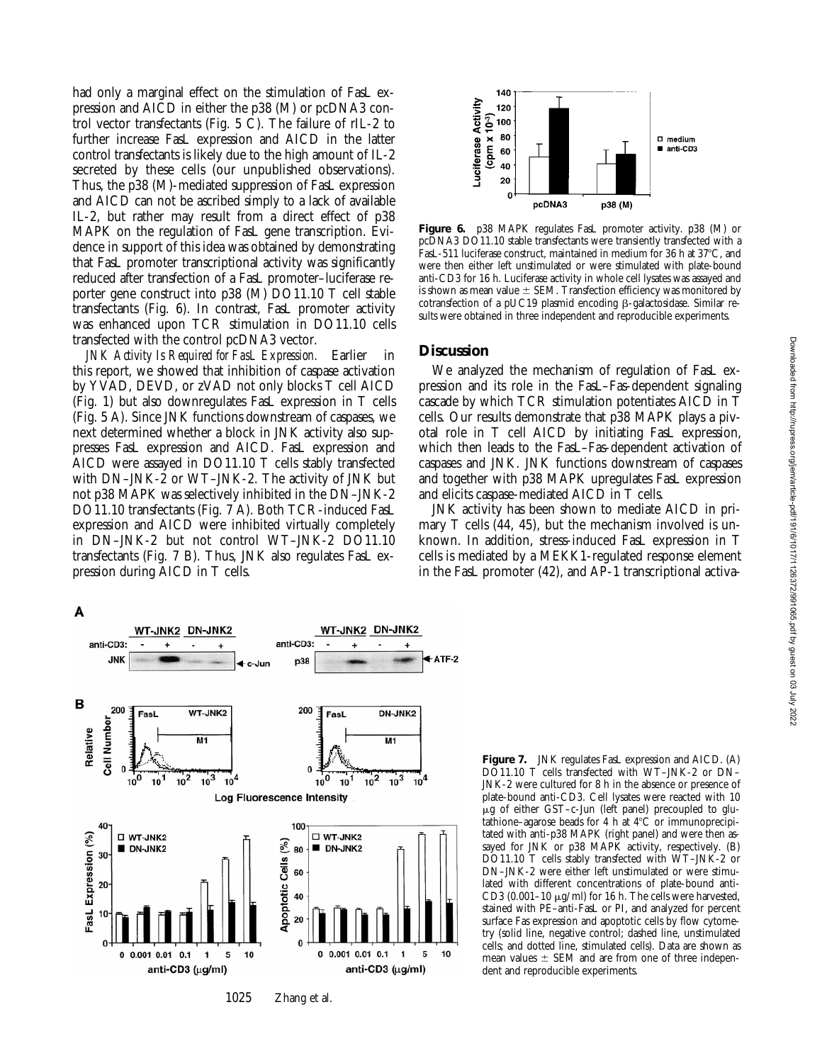had only a marginal effect on the stimulation of FasL expression and AICD in either the p38 (M) or pcDNA3 control vector transfectants (Fig. 5 C). The failure of rIL-2 to further increase FasL expression and AICD in the latter control transfectants is likely due to the high amount of IL-2 secreted by these cells (our unpublished observations). Thus, the p38 (M)-mediated suppression of FasL expression and AICD can not be ascribed simply to a lack of available IL-2, but rather may result from a direct effect of p38 MAPK on the regulation of FasL gene transcription. Evidence in support of this idea was obtained by demonstrating that FasL promoter transcriptional activity was significantly reduced after transfection of a FasL promoter–luciferase reporter gene construct into p38 (M) DO11.10 T cell stable transfectants (Fig. 6). In contrast, FasL promoter activity was enhanced upon TCR stimulation in DO11.10 cells transfected with the control pcDNA3 vector.

*JNK Activity Is Required for FasL Expression.* Earlier in this report, we showed that inhibition of caspase activation by YVAD, DEVD, or zVAD not only blocks T cell AICD (Fig. 1) but also downregulates FasL expression in T cells (Fig. 5 A). Since JNK functions downstream of caspases, we next determined whether a block in JNK activity also suppresses FasL expression and AICD. FasL expression and AICD were assayed in DO11.10 T cells stably transfected with DN–JNK-2 or WT–JNK-2. The activity of JNK but not p38 MAPK was selectively inhibited in the DN–JNK-2 DO11.10 transfectants (Fig. 7 A). Both TCR-induced FasL expression and AICD were inhibited virtually completely in DN–JNK-2 but not control WT–JNK-2 DO11.10 transfectants (Fig. 7 B). Thus, JNK also regulates FasL expression during AICD in T cells.



**Figure 6.** p38 MAPK regulates FasL promoter activity. p38 (M) or pcDNA3 DO11.10 stable transfectants were transiently transfected with a FasL-511 luciferase construct, maintained in medium for 36 h at  $37^{\circ}$ C, and were then either left unstimulated or were stimulated with plate-bound anti-CD3 for 16 h. Luciferase activity in whole cell lysates was assayed and is shown as mean value  $\pm$  SEM. Transfection efficiency was monitored by cotransfection of a pUC19 plasmid encoding  $\beta$ -galactosidase. Similar results were obtained in three independent and reproducible experiments.

#### **Discussion**

We analyzed the mechanism of regulation of FasL expression and its role in the FasL–Fas-dependent signaling cascade by which TCR stimulation potentiates AICD in T cells. Our results demonstrate that p38 MAPK plays a pivotal role in T cell AICD by initiating FasL expression, which then leads to the FasL–Fas-dependent activation of caspases and JNK. JNK functions downstream of caspases and together with p38 MAPK upregulates FasL expression and elicits caspase-mediated AICD in T cells.

JNK activity has been shown to mediate AICD in primary T cells (44, 45), but the mechanism involved is unknown. In addition, stress-induced FasL expression in T cells is mediated by a MEKK1-regulated response element in the FasL promoter (42), and AP-1 transcriptional activa-



**Figure 7.** JNK regulates FasL expression and AICD. (A) DO11.10 T cells transfected with WT–JNK-2 or DN– JNK-2 were cultured for 8 h in the absence or presence of plate-bound anti-CD3. Cell lysates were reacted with 10 mg of either GST–c-Jun (left panel) precoupled to glutathione–agarose beads for 4 h at  $4^{\circ}$ C or immunoprecipitated with anti-p38 MAPK (right panel) and were then assayed for JNK or p38 MAPK activity, respectively. (B) DO11.10 T cells stably transfected with WT–JNK-2 or DN–JNK-2 were either left unstimulated or were stimulated with different concentrations of plate-bound anti-CD3 (0.001–10  $\mu$ g/ml) for 16 h. The cells were harvested, stained with PE–anti-FasL or PI, and analyzed for percent surface Fas expression and apoptotic cells by flow cytometry (solid line, negative control; dashed line, unstimulated cells; and dotted line, stimulated cells). Data are shown as mean values  $\pm$  SEM and are from one of three independent and reproducible experiments.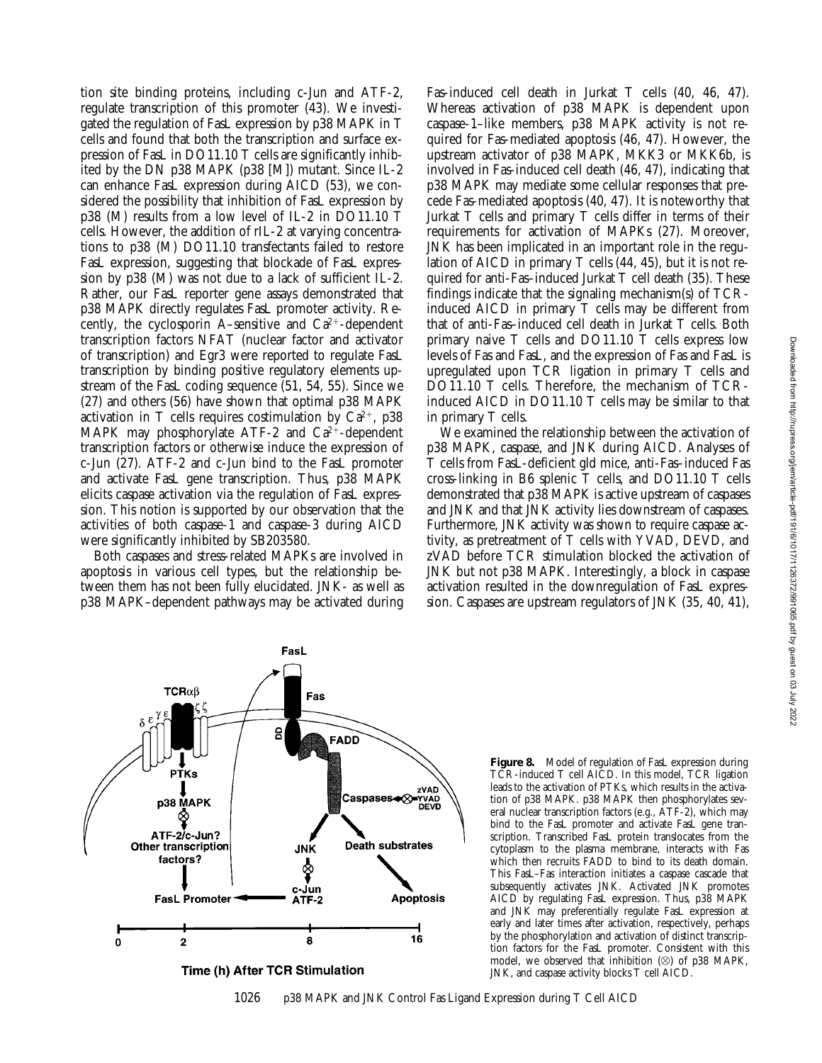tion site binding proteins, including c-Jun and ATF-2, regulate transcription of this promoter (43). We investigated the regulation of FasL expression by p38 MAPK in T cells and found that both the transcription and surface expression of FasL in DO11.10 T cells are significantly inhibited by the DN p38 MAPK (p38 [M]) mutant. Since IL-2 can enhance FasL expression during AICD (53), we considered the possibility that inhibition of FasL expression by p38 (M) results from a low level of IL-2 in DO11.10 T cells. However, the addition of rIL-2 at varying concentrations to p38 (M) DO11.10 transfectants failed to restore FasL expression, suggesting that blockade of FasL expression by p38 (M) was not due to a lack of sufficient IL-2. Rather, our FasL reporter gene assays demonstrated that p38 MAPK directly regulates FasL promoter activity. Recently, the cyclosporin A–sensitive and  $Ca^{2+}$ -dependent transcription factors NFAT (nuclear factor and activator of transcription) and Egr3 were reported to regulate FasL transcription by binding positive regulatory elements upstream of the FasL coding sequence (51, 54, 55). Since we (27) and others (56) have shown that optimal p38 MAPK activation in T cells requires costimulation by  $Ca^{2+}$ , p38 MAPK may phosphorylate ATF-2 and  $Ca^{2+}$ -dependent transcription factors or otherwise induce the expression of c-Jun (27). ATF-2 and c-Jun bind to the FasL promoter and activate FasL gene transcription. Thus, p38 MAPK elicits caspase activation via the regulation of FasL expression. This notion is supported by our observation that the activities of both caspase-1 and caspase-3 during AICD were significantly inhibited by SB203580.

Both caspases and stress-related MAPKs are involved in apoptosis in various cell types, but the relationship between them has not been fully elucidated. JNK- as well as p38 MAPK–dependent pathways may be activated during

Fas-induced cell death in Jurkat T cells (40, 46, 47). Whereas activation of p38 MAPK is dependent upon caspase-1–like members, p38 MAPK activity is not required for Fas-mediated apoptosis (46, 47). However, the upstream activator of p38 MAPK, MKK3 or MKK6b, is involved in Fas-induced cell death (46, 47), indicating that p38 MAPK may mediate some cellular responses that precede Fas-mediated apoptosis (40, 47). It is noteworthy that Jurkat T cells and primary T cells differ in terms of their requirements for activation of MAPKs (27). Moreover, JNK has been implicated in an important role in the regulation of AICD in primary T cells (44, 45), but it is not required for anti-Fas–induced Jurkat T cell death (35). These findings indicate that the signaling mechanism(s) of TCRinduced AICD in primary T cells may be different from that of anti-Fas–induced cell death in Jurkat T cells. Both primary naive T cells and DO11.10 T cells express low levels of Fas and FasL, and the expression of Fas and FasL is upregulated upon TCR ligation in primary T cells and DO11.10 T cells. Therefore, the mechanism of TCRinduced AICD in DO11.10 T cells may be similar to that in primary T cells.

We examined the relationship between the activation of p38 MAPK, caspase, and JNK during AICD. Analyses of T cells from FasL-deficient gld mice, anti-Fas–induced Fas cross-linking in B6 splenic T cells, and DO11.10 T cells demonstrated that p38 MAPK is active upstream of caspases and JNK and that JNK activity lies downstream of caspases. Furthermore, JNK activity was shown to require caspase activity, as pretreatment of T cells with YVAD, DEVD, and zVAD before TCR stimulation blocked the activation of JNK but not p38 MAPK. Interestingly, a block in caspase activation resulted in the downregulation of FasL expression. Caspases are upstream regulators of JNK (35, 40, 41),



bind to the FasL promoter and activate FasL gene transcription. Transcribed FasL protein translocates from the cytoplasm to the plasma membrane, interacts with Fas which then recruits FADD to bind to its death domain. This FasL–Fas interaction initiates a caspase cascade that subsequently activates JNK. Activated JNK promotes AICD by regulating FasL expression. Thus, p38 MAPK and JNK may preferentially regulate FasL expression at early and later times after activation, respectively, perhaps by the phosphorylation and activation of distinct transcription factors for the FasL promoter. Consistent with this model, we observed that inhibition  $(\otimes)$  of p38 MAPK, JNK, and caspase activity blocks T cell AICD.

**Figure 8.** Model of regulation of FasL expression during TCR-induced T cell AICD. In this model, TCR ligation leads to the activation of PTKs, which results in the activation of p38 MAPK. p38 MAPK then phosphorylates several nuclear transcription factors (e.g., ATF-2), which may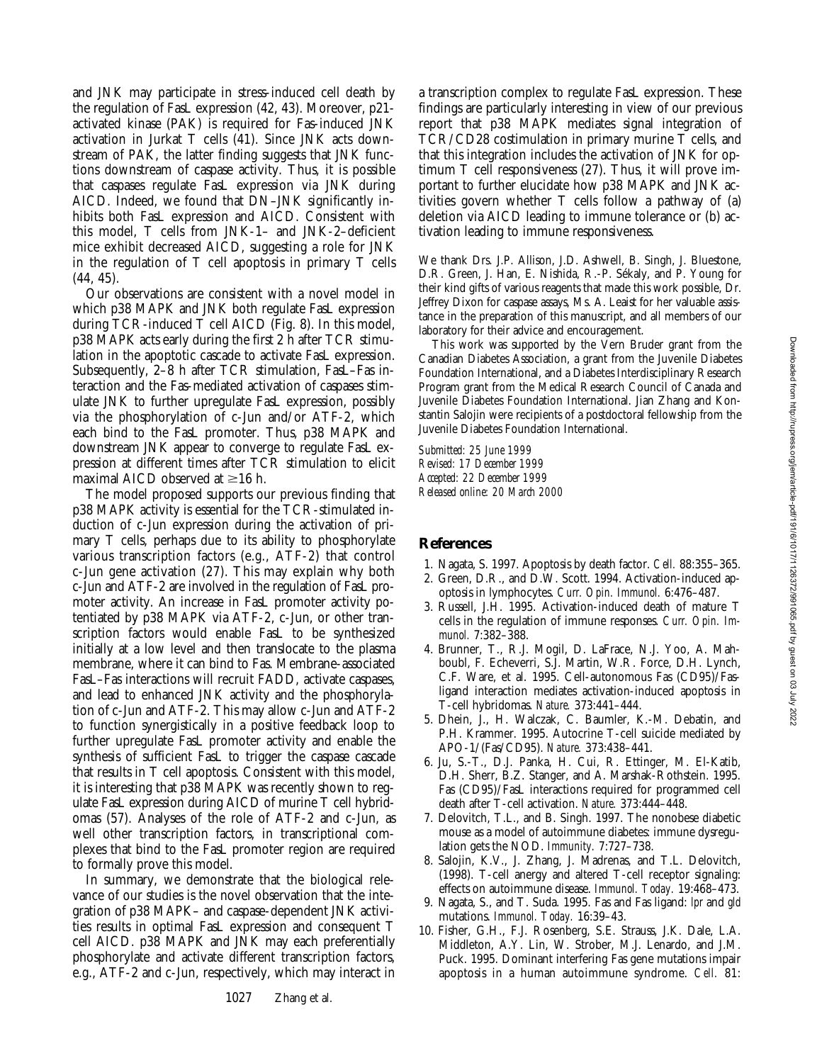and JNK may participate in stress-induced cell death by the regulation of FasL expression (42, 43). Moreover, p21 activated kinase (PAK) is required for Fas-induced JNK activation in Jurkat T cells  $(41)$ . Since JNK acts downstream of PAK, the latter finding suggests that JNK functions downstream of caspase activity. Thus, it is possible that caspases regulate FasL expression via JNK during AICD. Indeed, we found that DN–JNK significantly inhibits both FasL expression and AICD. Consistent with this model, T cells from JNK-1– and JNK-2–deficient mice exhibit decreased AICD, suggesting a role for JNK in the regulation of T cell apoptosis in primary T cells (44, 45).

Our observations are consistent with a novel model in which p38 MAPK and JNK both regulate FasL expression during TCR-induced T cell AICD (Fig. 8). In this model, p38 MAPK acts early during the first 2 h after TCR stimulation in the apoptotic cascade to activate FasL expression. Subsequently, 2–8 h after TCR stimulation, FasL–Fas interaction and the Fas-mediated activation of caspases stimulate JNK to further upregulate FasL expression, possibly via the phosphorylation of c-Jun and/or ATF-2, which each bind to the FasL promoter. Thus, p38 MAPK and downstream JNK appear to converge to regulate FasL expression at different times after TCR stimulation to elicit maximal AICD observed at  $\geq$ 16 h.

The model proposed supports our previous finding that p38 MAPK activity is essential for the TCR-stimulated induction of c-Jun expression during the activation of primary T cells, perhaps due to its ability to phosphorylate various transcription factors (e.g., ATF-2) that control c-Jun gene activation (27). This may explain why both c-Jun and ATF-2 are involved in the regulation of FasL promoter activity. An increase in FasL promoter activity potentiated by p38 MAPK via ATF-2, c-Jun, or other transcription factors would enable FasL to be synthesized initially at a low level and then translocate to the plasma membrane, where it can bind to Fas. Membrane-associated FasL–Fas interactions will recruit FADD, activate caspases, and lead to enhanced JNK activity and the phosphorylation of c-Jun and ATF-2. This may allow c-Jun and ATF-2 to function synergistically in a positive feedback loop to further upregulate FasL promoter activity and enable the synthesis of sufficient FasL to trigger the caspase cascade that results in T cell apoptosis. Consistent with this model, it is interesting that p38 MAPK was recently shown to regulate FasL expression during AICD of murine T cell hybridomas (57). Analyses of the role of ATF-2 and c-Jun, as well other transcription factors, in transcriptional complexes that bind to the FasL promoter region are required to formally prove this model.

In summary, we demonstrate that the biological relevance of our studies is the novel observation that the integration of p38 MAPK– and caspase-dependent JNK activities results in optimal FasL expression and consequent T cell AICD. p38 MAPK and JNK may each preferentially phosphorylate and activate different transcription factors, e.g., ATF-2 and c-Jun, respectively, which may interact in a transcription complex to regulate FasL expression. These findings are particularly interesting in view of our previous report that p38 MAPK mediates signal integration of TCR/CD28 costimulation in primary murine T cells, and that this integration includes the activation of JNK for optimum T cell responsiveness (27). Thus, it will prove important to further elucidate how p38 MAPK and JNK activities govern whether T cells follow a pathway of (a) deletion via AICD leading to immune tolerance or (b) activation leading to immune responsiveness.

We thank Drs. J.P. Allison, J.D. Ashwell, B. Singh, J. Bluestone, D.R. Green, J. Han, E. Nishida, R.-P. Sékaly, and P. Young for their kind gifts of various reagents that made this work possible, Dr. Jeffrey Dixon for caspase assays, Ms. A. Leaist for her valuable assistance in the preparation of this manuscript, and all members of our laboratory for their advice and encouragement.

This work was supported by the Vern Bruder grant from the Canadian Diabetes Association, a grant from the Juvenile Diabetes Foundation International, and a Diabetes Interdisciplinary Research Program grant from the Medical Research Council of Canada and Juvenile Diabetes Foundation International. Jian Zhang and Konstantin Salojin were recipients of a postdoctoral fellowship from the Juvenile Diabetes Foundation International.

*Submitted: 25 June 1999 Revised: 17 December 1999 Accepted: 22 December 1999 Released online: 20 March 2000*

## **References**

- 1. Nagata, S. 1997. Apoptosis by death factor. *Cell.* 88:355–365.
- 2. Green, D.R., and D.W. Scott. 1994. Activation-induced apoptosis in lymphocytes. *Curr. Opin. Immunol.* 6:476–487.
- 3. Russell, J.H. 1995. Activation-induced death of mature T cells in the regulation of immune responses. *Curr. Opin. Immunol.* 7:382–388.
- 4. Brunner, T., R.J. Mogil, D. LaFrace, N.J. Yoo, A. Mahboubl, F. Echeverri, S.J. Martin, W.R. Force, D.H. Lynch, C.F. Ware, et al. 1995. Cell-autonomous Fas (CD95)/Fasligand interaction mediates activation-induced apoptosis in T-cell hybridomas. *Nature.* 373:441–444.
- 5. Dhein, J., H. Walczak, C. Baumler, K.-M. Debatin, and P.H. Krammer. 1995. Autocrine T-cell suicide mediated by APO-1/(Fas/CD95). *Nature.* 373:438–441.
- 6. Ju, S.-T., D.J. Panka, H. Cui, R. Ettinger, M. El-Katib, D.H. Sherr, B.Z. Stanger, and A. Marshak-Rothstein. 1995. Fas (CD95)/FasL interactions required for programmed cell death after T-cell activation. *Nature.* 373:444–448.
- 7. Delovitch, T.L., and B. Singh. 1997. The nonobese diabetic mouse as a model of autoimmune diabetes: immune dysregulation gets the NOD. *Immunity.* 7:727–738.
- 8. Salojin, K.V., J. Zhang, J. Madrenas, and T.L. Delovitch, (1998). T-cell anergy and altered T-cell receptor signaling: effects on autoimmune disease. *Immunol. Today.* 19:468–473.
- 9. Nagata, S., and T. Suda. 1995. Fas and Fas ligand: *lpr* and *gld* mutations. *Immunol. Today.* 16:39–43.
- 10. Fisher, G.H., F.J. Rosenberg, S.E. Strauss, J.K. Dale, L.A. Middleton, A.Y. Lin, W. Strober, M.J. Lenardo, and J.M. Puck. 1995. Dominant interfering Fas gene mutations impair apoptosis in a human autoimmune syndrome. *Cell.* 81: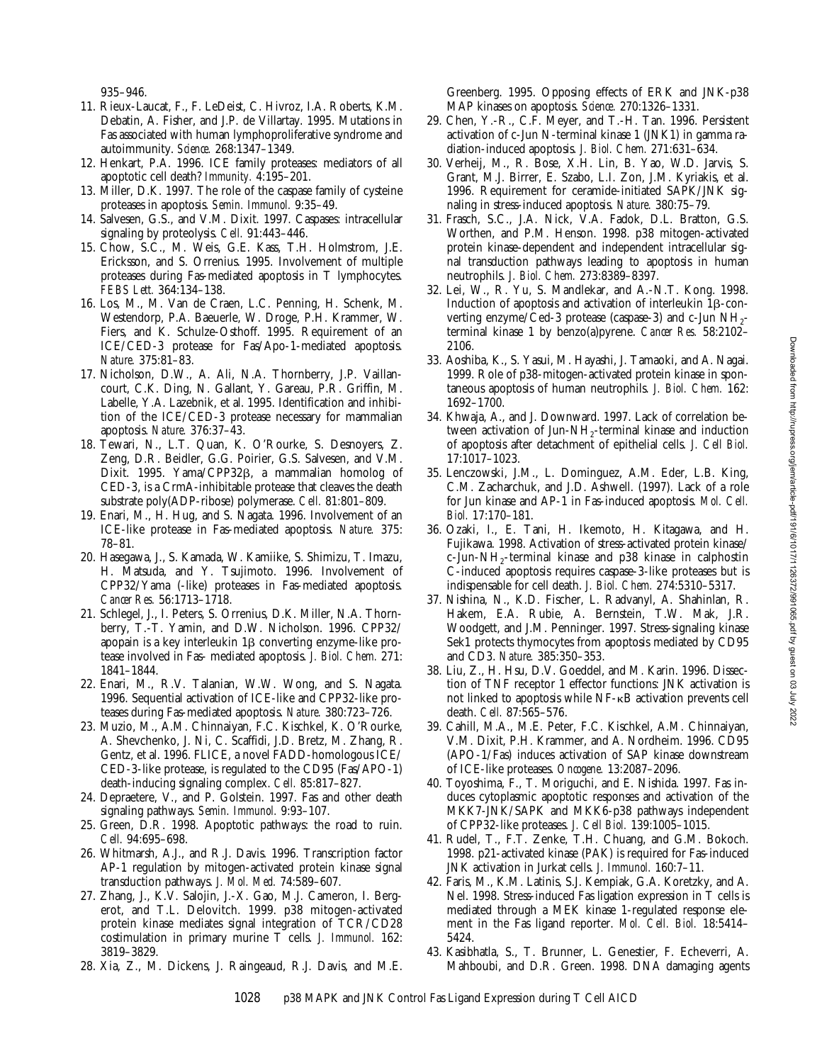935–946.

- 11. Rieux-Laucat, F., F. LeDeist, C. Hivroz, I.A. Roberts, K.M. Debatin, A. Fisher, and J.P. de Villartay. 1995. Mutations in Fas associated with human lymphoproliferative syndrome and autoimmunity. *Science.* 268:1347–1349.
- 12. Henkart, P.A. 1996. ICE family proteases: mediators of all apoptotic cell death? *Immunity.* 4:195–201.
- 13. Miller, D.K. 1997. The role of the caspase family of cysteine proteases in apoptosis. *Semin. Immunol.* 9:35–49.
- 14. Salvesen, G.S., and V.M. Dixit. 1997. Caspases: intracellular signaling by proteolysis. *Cell.* 91:443–446.
- 15. Chow, S.C., M. Weis, G.E. Kass, T.H. Holmstrom, J.E. Ericksson, and S. Orrenius. 1995. Involvement of multiple proteases during Fas-mediated apoptosis in T lymphocytes. *FEBS Lett.* 364:134–138.
- 16. Los, M., M. Van de Craen, L.C. Penning, H. Schenk, M. Westendorp, P.A. Baeuerle, W. Droge, P.H. Krammer, W. Fiers, and K. Schulze-Osthoff. 1995. Requirement of an ICE/CED-3 protease for Fas/Apo-1-mediated apoptosis. *Nature.* 375:81–83.
- 17. Nicholson, D.W., A. Ali, N.A. Thornberry, J.P. Vaillancourt, C.K. Ding, N. Gallant, Y. Gareau, P.R. Griffin, M. Labelle, Y.A. Lazebnik, et al. 1995. Identification and inhibition of the ICE/CED-3 protease necessary for mammalian apoptosis. *Nature.* 376:37–43.
- 18. Tewari, N., L.T. Quan, K. O'Rourke, S. Desnoyers, Z. Zeng, D.R. Beidler, G.G. Poirier, G.S. Salvesen, and V.M. Dixit. 1995. Yama/CPP32<sub>B</sub>, a mammalian homolog of CED-3, is a CrmA-inhibitable protease that cleaves the death substrate poly(ADP-ribose) polymerase. *Cell.* 81:801–809.
- 19. Enari, M., H. Hug, and S. Nagata. 1996. Involvement of an ICE-like protease in Fas-mediated apoptosis. *Nature.* 375: 78–81.
- 20. Hasegawa, J., S. Kamada, W. Kamiike, S. Shimizu, T. Imazu, H. Matsuda, and Y. Tsujimoto. 1996. Involvement of CPP32/Yama (-like) proteases in Fas-mediated apoptosis. *Cancer Res.* 56:1713–1718.
- 21. Schlegel, J., I. Peters, S. Orrenius, D.K. Miller, N.A. Thornberry, T.-T. Yamin, and D.W. Nicholson. 1996. CPP32/ apopain is a key interleukin  $1\beta$  converting enzyme-like protease involved in Fas- mediated apoptosis. *J. Biol. Chem.* 271: 1841–1844.
- 22. Enari, M., R.V. Talanian, W.W. Wong, and S. Nagata. 1996. Sequential activation of ICE-like and CPP32-like proteases during Fas-mediated apoptosis. *Nature.* 380:723–726.
- 23. Muzio, M., A.M. Chinnaiyan, F.C. Kischkel, K. O'Rourke, A. Shevchenko, J. Ni, C. Scaffidi, J.D. Bretz, M. Zhang, R. Gentz, et al. 1996. FLICE, a novel FADD-homologous ICE/ CED-3-like protease, is regulated to the CD95 (Fas/APO-1) death-inducing signaling complex. *Cell.* 85:817–827.
- 24. Depraetere, V., and P. Golstein. 1997. Fas and other death signaling pathways. *Semin. Immunol.* 9:93–107.
- 25. Green, D.R. 1998. Apoptotic pathways: the road to ruin. *Cell.* 94:695–698.
- 26. Whitmarsh, A.J., and R.J. Davis. 1996. Transcription factor AP-1 regulation by mitogen-activated protein kinase signal transduction pathways. *J. Mol. Med.* 74:589–607.
- 27. Zhang, J., K.V. Salojin, J.-X. Gao, M.J. Cameron, I. Bergerot, and T.L. Delovitch. 1999. p38 mitogen-activated protein kinase mediates signal integration of TCR/CD28 costimulation in primary murine T cells. *J. Immunol.* 162: 3819–3829.
- 28. Xia, Z., M. Dickens, J. Raingeaud, R.J. Davis, and M.E.

Greenberg. 1995. Opposing effects of ERK and JNK-p38 MAP kinases on apoptosis. *Science.* 270:1326–1331.

- 29. Chen, Y.-R., C.F. Meyer, and T.-H. Tan. 1996. Persistent activation of c-Jun N-terminal kinase 1 (JNK1) in gamma radiation-induced apoptosis. *J. Biol. Chem.* 271:631–634.
- 30. Verheij, M., R. Bose, X.H. Lin, B. Yao, W.D. Jarvis, S. Grant, M.J. Birrer, E. Szabo, L.I. Zon, J.M. Kyriakis, et al. 1996. Requirement for ceramide-initiated SAPK/JNK signaling in stress-induced apoptosis. *Nature.* 380:75–79.
- 31. Frasch, S.C., J.A. Nick, V.A. Fadok, D.L. Bratton, G.S. Worthen, and P.M. Henson. 1998. p38 mitogen-activated protein kinase-dependent and independent intracellular signal transduction pathways leading to apoptosis in human neutrophils. *J. Biol. Chem.* 273:8389–8397.
- 32. Lei, W., R. Yu, S. Mandlekar, and A.-N.T. Kong. 1998. Induction of apoptosis and activation of interleukin  $1\beta$ -converting enzyme/Ced-3 protease (caspase-3) and c-Jun NH2 terminal kinase 1 by benzo(a)pyrene. *Cancer Res.* 58:2102– 2106.
- 33. Aoshiba, K., S. Yasui, M. Hayashi, J. Tamaoki, and A. Nagai. 1999. Role of p38-mitogen-activated protein kinase in spontaneous apoptosis of human neutrophils. *J. Biol. Chem.* 162: 1692–1700.
- 34. Khwaja, A., and J. Downward. 1997. Lack of correlation between activation of Jun-NH<sub>2</sub>-terminal kinase and induction of apoptosis after detachment of epithelial cells. *J. Cell Biol.* 17:1017–1023.
- 35. Lenczowski, J.M., L. Dominguez, A.M. Eder, L.B. King, C.M. Zacharchuk, and J.D. Ashwell. (1997). Lack of a role for Jun kinase and AP-1 in Fas-induced apoptosis. *Mol. Cell. Biol.* 17:170–181.
- 36. Ozaki, I., E. Tani, H. Ikemoto, H. Kitagawa, and H. Fujikawa. 1998. Activation of stress-activated protein kinase/ c-Jun-NH<sub>2</sub>-terminal kinase and p38 kinase in calphostin C-induced apoptosis requires caspase-3-like proteases but is indispensable for cell death. *J. Biol. Chem.* 274:5310–5317.
- 37. Nishina, N., K.D. Fischer, L. Radvanyl, A. Shahinlan, R. Hakem, E.A. Rubie, A. Bernstein, T.W. Mak, J.R. Woodgett, and J.M. Penninger. 1997. Stress-signaling kinase Sek1 protects thymocytes from apoptosis mediated by CD95 and CD3. *Nature.* 385:350–353.
- 38. Liu, Z., H. Hsu, D.V. Goeddel, and M. Karin. 1996. Dissection of TNF receptor 1 effector functions: JNK activation is not linked to apoptosis while NF-<sub>KB</sub> activation prevents cell death. *Cell.* 87:565–576.
- 39. Cahill, M.A., M.E. Peter, F.C. Kischkel, A.M. Chinnaiyan, V.M. Dixit, P.H. Krammer, and A. Nordheim. 1996. CD95 (APO-1/Fas) induces activation of SAP kinase downstream of ICE-like proteases. *Oncogene.* 13:2087–2096.
- 40. Toyoshima, F., T. Moriguchi, and E. Nishida. 1997. Fas induces cytoplasmic apoptotic responses and activation of the MKK7-JNK/SAPK and MKK6-p38 pathways independent of CPP32-like proteases. *J. Cell Biol.* 139:1005–1015.
- 41. Rudel, T., F.T. Zenke, T.H. Chuang, and G.M. Bokoch. 1998. p21-activated kinase (PAK) is required for Fas-induced JNK activation in Jurkat cells. *J. Immunol.* 160:7–11.
- 42. Faris, M., K.M. Latinis, S.J. Kempiak, G.A. Koretzky, and A. Nel. 1998. Stress-induced Fas ligation expression in T cells is mediated through a MEK kinase 1-regulated response element in the Fas ligand reporter. *Mol. Cell. Biol.* 18:5414– 5424.
- 43. Kasibhatla, S., T. Brunner, L. Genestier, F. Echeverri, A. Mahboubi, and D.R. Green. 1998. DNA damaging agents